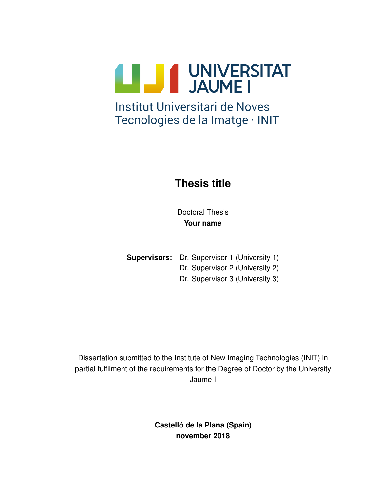

# Tecnologies de la Imatge · INIT

### **Thesis title**

Doctoral Thesis **Your name**

**Supervisors:** Dr. Supervisor 1 (University 1)

Dr. Supervisor 2 (University 2)

Dr. Supervisor 3 (University 3)

Dissertation submitted to the Institute of New Imaging Technologies (INIT) in partial fulfilment of the requirements for the Degree of Doctor by the University Jaume I

> **Castello de la Plana (Spain) ´ november 2018**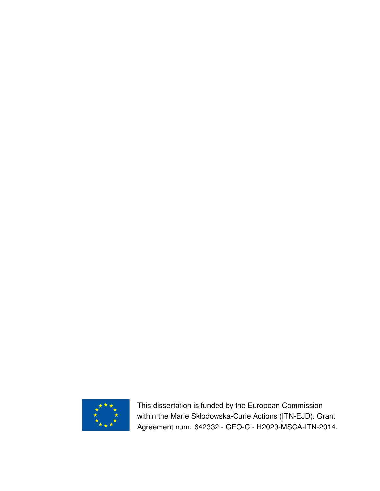

This dissertation is funded by the European Commission within the Marie Skłodowska-Curie Actions (ITN-EJD). Grant Agreement num. 642332 - GEO-C - H2020-MSCA-ITN-2014.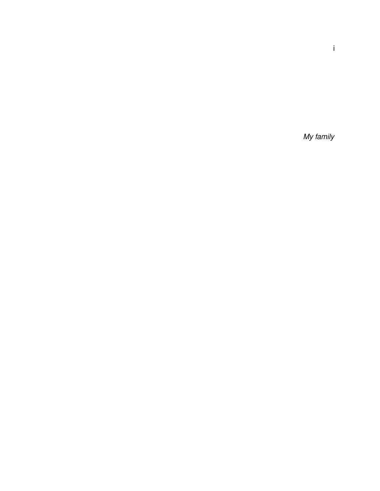My family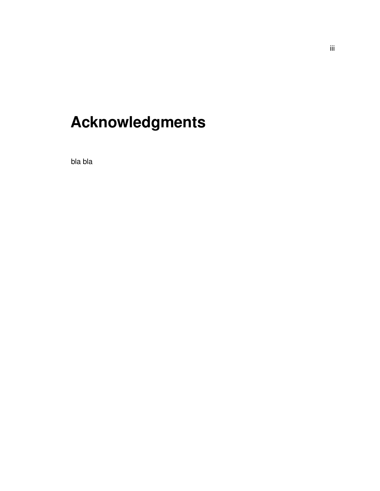# **Acknowledgments**

bla bla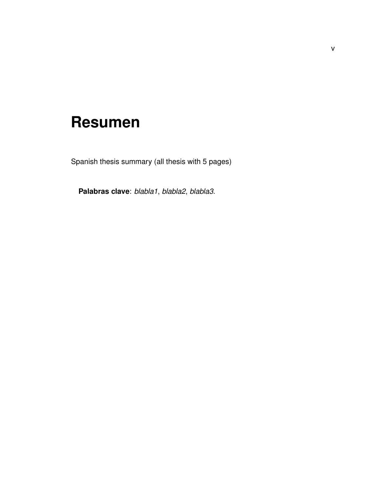### <span id="page-8-0"></span>**Resumen**

Spanish thesis summary (all thesis with 5 pages)

**Palabras clave**: *blabla1*, *blabla2*, *blabla3*.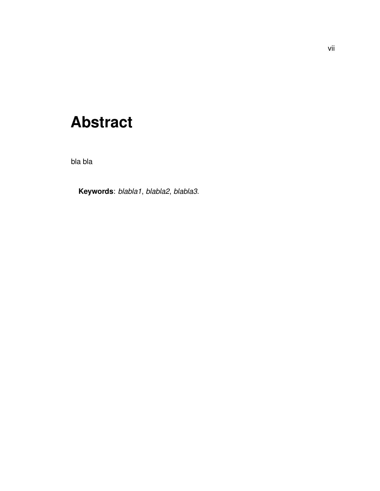### <span id="page-10-0"></span>**Abstract**

bla bla

**Keywords**: *blabla1*, *blabla2*, *blabla3*.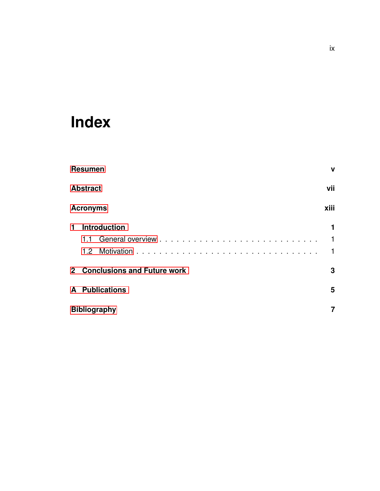### **Index**

|                 | <b>Resumen</b>                | $\mathbf{V}$ |
|-----------------|-------------------------------|--------------|
| <b>Abstract</b> |                               | vii          |
|                 | <b>Acronyms</b>               | xiii         |
| 1               | <b>Introduction</b>           | 1<br>1<br>1  |
|                 | 2 Conclusions and Future work | 3            |
|                 | <b>A</b> Publications         | 5            |
|                 | <b>Bibliography</b>           |              |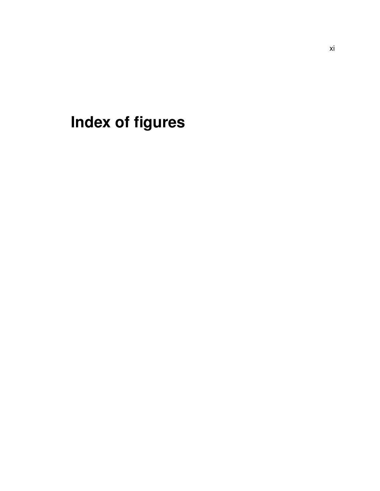**Index of figures**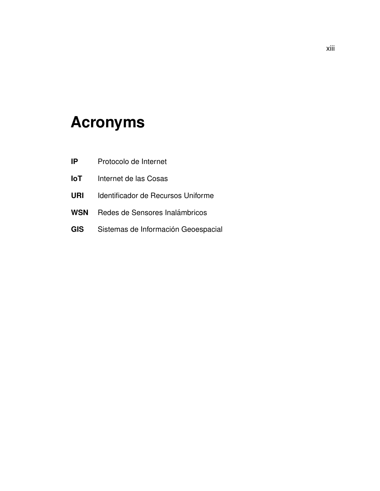### <span id="page-16-0"></span>**Acronyms**

- **IP** Protocolo de Internet
- **IoT** Internet de las Cosas
- **URI** Identificador de Recursos Uniforme
- **WSN** Redes de Sensores Inalámbricos
- GIS Sistemas de Información Geoespacial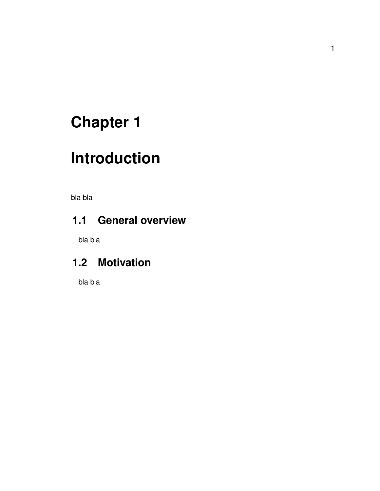## <span id="page-17-0"></span>**Chapter 1**

## **Introduction**

<span id="page-17-1"></span>bla bla

### **1.1 General overview**

<span id="page-17-2"></span>bla bla

### **1.2 Motivation**

bla bla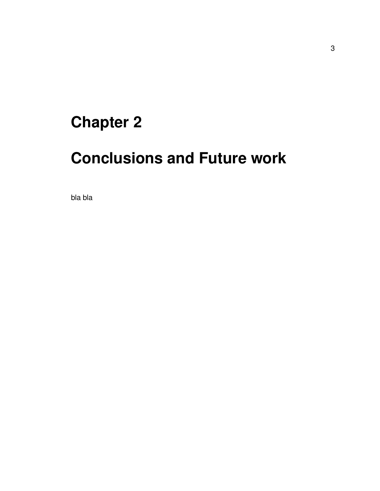## <span id="page-19-0"></span>**Chapter 2**

## **Conclusions and Future work**

bla bla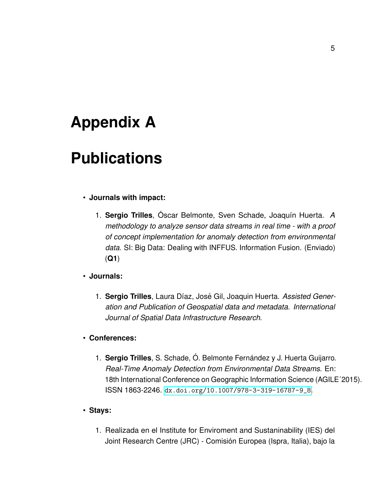### <span id="page-21-0"></span>**Appendix A**

### **Publications**

#### • **Journals with impact:**

1. **Sergio Trilles**, Óscar Belmonte, Sven Schade, Joaquín Huerta. *A methodology to analyze sensor data streams in real time - with a proof of concept implementation for anomaly detection from environmental data*. SI: Big Data: Dealing with INFFUS. Information Fusion. (Enviado) (**Q1**)

#### • **Journals:**

1. Sergio Trilles, Laura Díaz, José Gil, Joaquin Huerta. Assisted Gener*ation and Publication of Geospatial data and metadata. International Journal of Spatial Data Infrastructure Research*.

#### • **Conferences:**

1. **Sergio Trilles**, S. Schade, Ó. Belmonte Fernández y J. Huerta Guijarro. *Real-Time Anomaly Detection from Environmental Data Streams*. En: 18th International Conference on Geographic Information Science (AGILE´2015). ISSN 1863-2246. [dx.doi.org/10.1007/978-3-319-16787-9\\_8](dx.doi.org/10.1007/978-3-319-16787-9_8).

### • **Stays:**

1. Realizada en el Institute for Enviroment and Sustaninability (IES) del Joint Research Centre (JRC) - Comisión Europea (Ispra, Italia), bajo la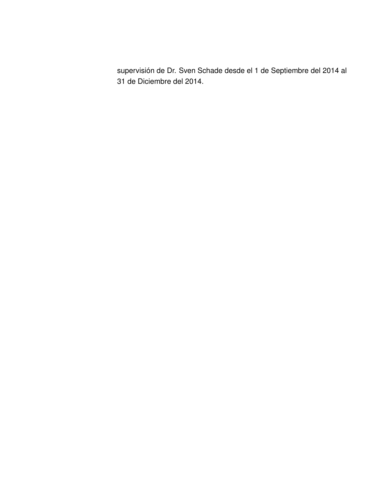supervisión de Dr. Sven Schade desde el 1 de Septiembre del 2014 al 31 de Diciembre del 2014.